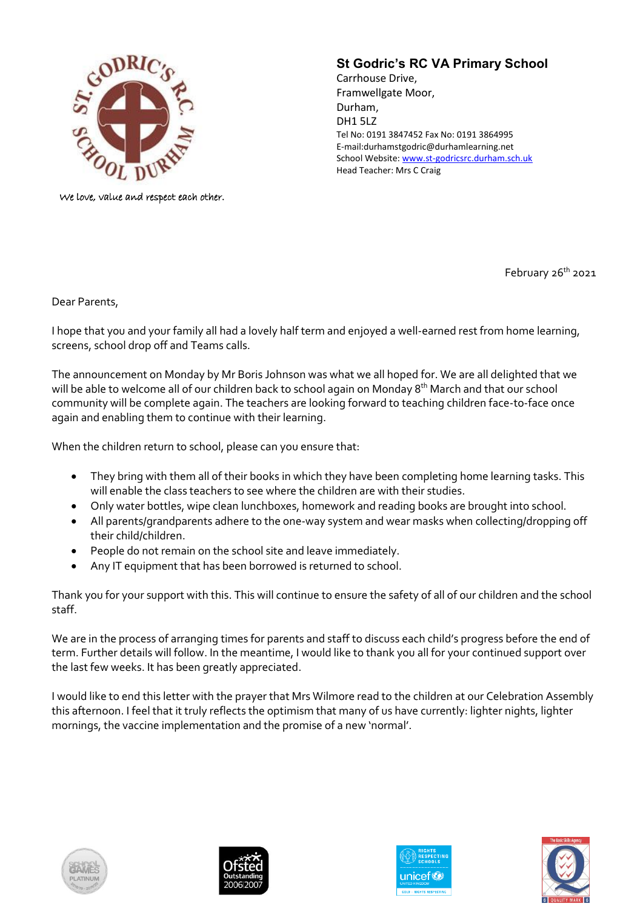

We love, value and respect each other.

## **St Godric's RC VA Primary School**

Carrhouse Drive, Framwellgate Moor, Durham, DH1 5LZ Tel No: 0191 3847452 Fax No: 0191 3864995 E-mail:durhamstgodric@durhamlearning.net School Website[: www.st-godricsrc.durham.sch.uk](http://www.st-godricsrc.durham.sch.uk/) Head Teacher: Mrs C Craig

February 26<sup>th</sup> 2021

Dear Parents,

I hope that you and your family all had a lovely half term and enjoyed a well-earned rest from home learning, screens, school drop off and Teams calls.

The announcement on Monday by Mr Boris Johnson was what we all hoped for. We are all delighted that we will be able to welcome all of our children back to school again on Monday 8<sup>th</sup> March and that our school community will be complete again. The teachers are looking forward to teaching children face-to-face once again and enabling them to continue with their learning.

When the children return to school, please can you ensure that:

- They bring with them all of their books in which they have been completing home learning tasks. This will enable the class teachers to see where the children are with their studies.
- Only water bottles, wipe clean lunchboxes, homework and reading books are brought into school.
- All parents/grandparents adhere to the one-way system and wear masks when collecting/dropping off their child/children.
- People do not remain on the school site and leave immediately.
- Any IT equipment that has been borrowed is returned to school.

Thank you for your support with this. This will continue to ensure the safety of all of our children and the school staff.

We are in the process of arranging times for parents and staff to discuss each child's progress before the end of term. Further details will follow. In the meantime, I would like to thank you all for your continued support over the last few weeks. It has been greatly appreciated.

I would like to end this letter with the prayer that Mrs Wilmore read to the children at our Celebration Assembly this afternoon. I feel that it truly reflects the optimism that many of us have currently: lighter nights, lighter mornings, the vaccine implementation and the promise of a new 'normal'.